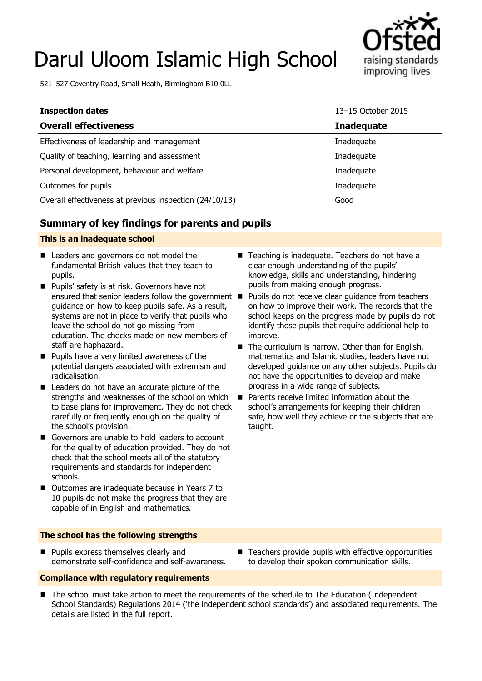## Darul Uloom Islamic High School

521–527 Coventry Road, Small Heath, Birmingham B10 0LL

# raising standards improving lives

| <b>Inspection dates</b>                                 | 13-15 October 2015 |
|---------------------------------------------------------|--------------------|
| <b>Overall effectiveness</b>                            | <b>Inadequate</b>  |
| Effectiveness of leadership and management              | Inadequate         |
| Quality of teaching, learning and assessment            | Inadequate         |
| Personal development, behaviour and welfare             | Inadequate         |
| Outcomes for pupils                                     | Inadequate         |
| Overall effectiveness at previous inspection (24/10/13) | Good               |

## **Summary of key findings for parents and pupils**

#### **This is an inadequate school**

- Leaders and governors do not model the fundamental British values that they teach to pupils.
- Pupils' safety is at risk. Governors have not ensured that senior leaders follow the government guidance on how to keep pupils safe. As a result, systems are not in place to verify that pupils who leave the school do not go missing from education. The checks made on new members of staff are haphazard.
- **Pupils have a very limited awareness of the** potential dangers associated with extremism and radicalisation.
- Leaders do not have an accurate picture of the strengths and weaknesses of the school on which to base plans for improvement. They do not check carefully or frequently enough on the quality of the school's provision.
- Governors are unable to hold leaders to account for the quality of education provided. They do not check that the school meets all of the statutory requirements and standards for independent schools.
- Outcomes are inadequate because in Years 7 to 10 pupils do not make the progress that they are capable of in English and mathematics.
- Teaching is inadequate. Teachers do not have a clear enough understanding of the pupils' knowledge, skills and understanding, hindering pupils from making enough progress.
- Pupils do not receive clear guidance from teachers on how to improve their work. The records that the school keeps on the progress made by pupils do not identify those pupils that require additional help to improve.
- The curriculum is narrow. Other than for English, mathematics and Islamic studies, leaders have not developed guidance on any other subjects. Pupils do not have the opportunities to develop and make progress in a wide range of subjects.
- Parents receive limited information about the school's arrangements for keeping their children safe, how well they achieve or the subjects that are taught.

#### **The school has the following strengths**

 Pupils express themselves clearly and demonstrate self-confidence and self-awareness.

#### **Compliance with regulatory requirements**

- Teachers provide pupils with effective opportunities to develop their spoken communication skills.
- The school must take action to meet the requirements of the schedule to The Education (Independent School Standards) Regulations 2014 ('the independent school standards') and associated requirements. The details are listed in the full report.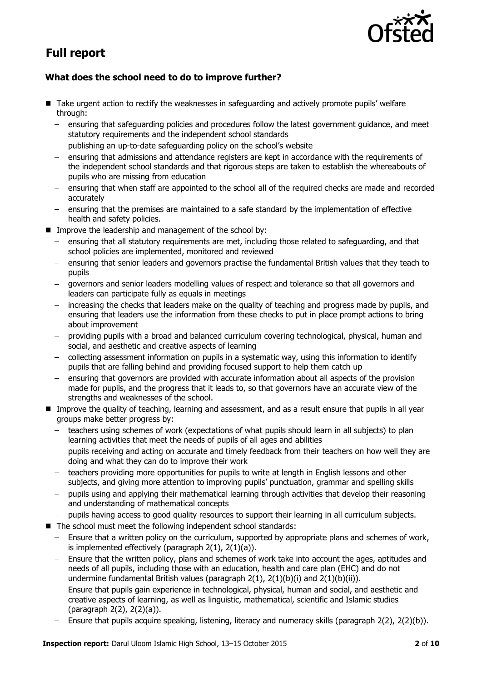

## **Full report**

#### **What does the school need to do to improve further?**

- Take urgent action to rectify the weaknesses in safeguarding and actively promote pupils' welfare through:
	- $\equiv$ ensuring that safeguarding policies and procedures follow the latest government guidance, and meet statutory requirements and the independent school standards
	- publishing an up-to-date safeguarding policy on the school's website
	- ensuring that admissions and attendance registers are kept in accordance with the requirements of the independent school standards and that rigorous steps are taken to establish the whereabouts of pupils who are missing from education
	- ensuring that when staff are appointed to the school all of the required checks are made and recorded accurately
	- ensuring that the premises are maintained to a safe standard by the implementation of effective health and safety policies.
- **IMPROVE the leadership and management of the school by:** 
	- ensuring that all statutory requirements are met, including those related to safeguarding, and that school policies are implemented, monitored and reviewed
	- ensuring that senior leaders and governors practise the fundamental British values that they teach to pupils
	- governors and senior leaders modelling values of respect and tolerance so that all governors and leaders can participate fully as equals in meetings
	- increasing the checks that leaders make on the quality of teaching and progress made by pupils, and ensuring that leaders use the information from these checks to put in place prompt actions to bring about improvement
	- providing pupils with a broad and balanced curriculum covering technological, physical, human and social, and aesthetic and creative aspects of learning
	- collecting assessment information on pupils in a systematic way, using this information to identify pupils that are falling behind and providing focused support to help them catch up
	- ensuring that governors are provided with accurate information about all aspects of the provision  $\equiv$ made for pupils, and the progress that it leads to, so that governors have an accurate view of the strengths and weaknesses of the school.
- **IM** Improve the quality of teaching, learning and assessment, and as a result ensure that pupils in all year groups make better progress by:
	- teachers using schemes of work (expectations of what pupils should learn in all subjects) to plan a. learning activities that meet the needs of pupils of all ages and abilities
	- pupils receiving and acting on accurate and timely feedback from their teachers on how well they are doing and what they can do to improve their work
	- teachers providing more opportunities for pupils to write at length in English lessons and other subjects, and giving more attention to improving pupils' punctuation, grammar and spelling skills
	- pupils using and applying their mathematical learning through activities that develop their reasoning and understanding of mathematical concepts
	- pupils having access to good quality resources to support their learning in all curriculum subjects.
- The school must meet the following independent school standards:
	- Ensure that a written policy on the curriculum, supported by appropriate plans and schemes of work,  $\equiv$ is implemented effectively (paragraph 2(1), 2(1)(a)).
	- Ensure that the written policy, plans and schemes of work take into account the ages, aptitudes and  $\frac{1}{2}$ needs of all pupils, including those with an education, health and care plan (EHC) and do not undermine fundamental British values (paragraph 2(1), 2(1)(b)(i) and 2(1)(b)(ii)).
	- Ensure that pupils gain experience in technological, physical, human and social, and aesthetic and creative aspects of learning, as well as linguistic, mathematical, scientific and Islamic studies (paragraph 2(2), 2(2)(a)).
	- Ensure that pupils acquire speaking, listening, literacy and numeracy skills (paragraph 2(2), 2(2)(b)). $\sim$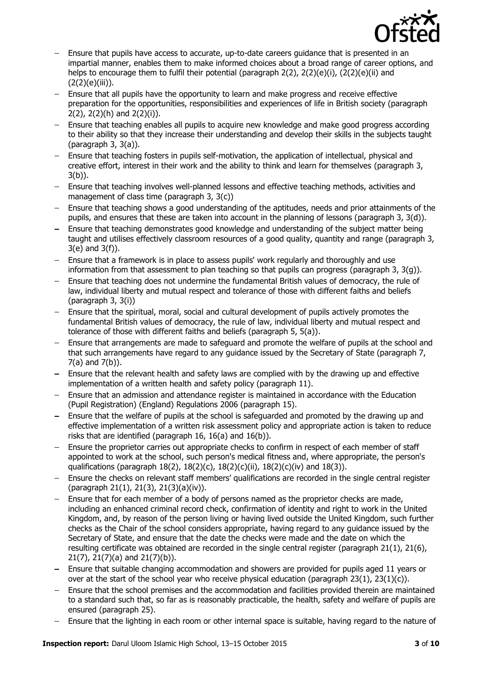

- Ensure that pupils have access to accurate, up-to-date careers guidance that is presented in an impartial manner, enables them to make informed choices about a broad range of career options, and helps to encourage them to fulfil their potential (paragraph 2(2), 2(2)(e)(i), (2(2)(e)(ii) and (2(2)(e)(iii)).
- Ensure that all pupils have the opportunity to learn and make progress and receive effective preparation for the opportunities, responsibilities and experiences of life in British society (paragraph 2(2), 2(2)(h) and 2(2)(i)).
- Ensure that teaching enables all pupils to acquire new knowledge and make good progress according to their ability so that they increase their understanding and develop their skills in the subjects taught (paragraph 3, 3(a)).
- Ensure that teaching fosters in pupils self-motivation, the application of intellectual, physical and creative effort, interest in their work and the ability to think and learn for themselves (paragraph 3, 3(b)).
- Ensure that teaching involves well-planned lessons and effective teaching methods, activities and management of class time (paragraph 3, 3(c))
- Ensure that teaching shows a good understanding of the aptitudes, needs and prior attainments of the pupils, and ensures that these are taken into account in the planning of lessons (paragraph 3, 3(d)).
- Ensure that teaching demonstrates good knowledge and understanding of the subject matter being  $\sim$ taught and utilises effectively classroom resources of a good quality, quantity and range (paragraph 3, 3(e) and 3(f)).
- Ensure that a framework is in place to assess pupils' work regularly and thoroughly and use  $\sim$ information from that assessment to plan teaching so that pupils can progress (paragraph 3, 3(g)).
- Ensure that teaching does not undermine the fundamental British values of democracy, the rule of law, individual liberty and mutual respect and tolerance of those with different faiths and beliefs (paragraph 3, 3(i))
- Ensure that the spiritual, moral, social and cultural development of pupils actively promotes the fundamental British values of democracy, the rule of law, individual liberty and mutual respect and tolerance of those with different faiths and beliefs (paragraph 5, 5(a)).
- $\equiv$ Ensure that arrangements are made to safeguard and promote the welfare of pupils at the school and that such arrangements have regard to any guidance issued by the Secretary of State (paragraph 7, 7(a) and 7(b)).
- Ensure that the relevant health and safety laws are complied with by the drawing up and effective implementation of a written health and safety policy (paragraph 11).
- Ensure that an admission and attendance register is maintained in accordance with the Education (Pupil Registration) (England) Regulations 2006 (paragraph 15).
- Ensure that the welfare of pupils at the school is safeguarded and promoted by the drawing up and effective implementation of a written risk assessment policy and appropriate action is taken to reduce risks that are identified (paragraph 16, 16(a) and 16(b)).
- Ensure the proprietor carries out appropriate checks to confirm in respect of each member of staff  $\equiv$ appointed to work at the school, such person's medical fitness and, where appropriate, the person's qualifications (paragraph 18(2), 18(2)(c), 18(2)(c)(ii), 18(2)(c)(iv) and 18(3)).
- Ensure the checks on relevant staff members' qualifications are recorded in the single central register (paragraph 21(1), 21(3), 21(3)(a)(iv)).
- Ensure that for each member of a body of persons named as the proprietor checks are made, including an enhanced criminal record check, confirmation of identity and right to work in the United Kingdom, and, by reason of the person living or having lived outside the United Kingdom, such further checks as the Chair of the school considers appropriate, having regard to any guidance issued by the Secretary of State, and ensure that the date the checks were made and the date on which the resulting certificate was obtained are recorded in the single central register (paragraph 21(1), 21(6), 21(7), 21(7)(a) and 21(7)(b)).
- Ensure that suitable changing accommodation and showers are provided for pupils aged 11 years or over at the start of the school year who receive physical education (paragraph 23(1), 23(1)(c)).
- Ensure that the school premises and the accommodation and facilities provided therein are maintained to a standard such that, so far as is reasonably practicable, the health, safety and welfare of pupils are ensured (paragraph 25).
- Ensure that the lighting in each room or other internal space is suitable, having regard to the nature of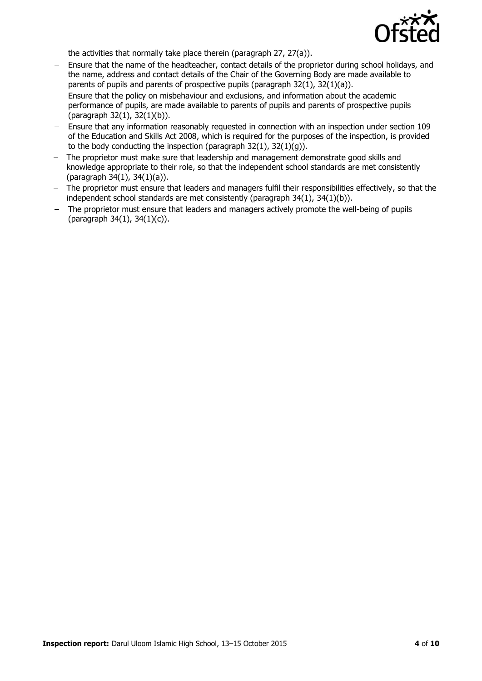

the activities that normally take place therein (paragraph 27, 27(a)).

- Ensure that the name of the headteacher, contact details of the proprietor during school holidays, and  $\equiv$ the name, address and contact details of the Chair of the Governing Body are made available to parents of pupils and parents of prospective pupils (paragraph 32(1), 32(1)(a)).
- Ensure that the policy on misbehaviour and exclusions, and information about the academic performance of pupils, are made available to parents of pupils and parents of prospective pupils (paragraph 32(1), 32(1)(b)).
- Ensure that any information reasonably requested in connection with an inspection under section 109  $\equiv$ of the Education and Skills Act 2008, which is required for the purposes of the inspection, is provided to the body conducting the inspection (paragraph  $32(1)$ ,  $32(1)(q)$ ).
- The proprietor must make sure that leadership and management demonstrate good skills and knowledge appropriate to their role, so that the independent school standards are met consistently (paragraph 34(1), 34(1)(a)).
- The proprietor must ensure that leaders and managers fulfil their responsibilities effectively, so that the independent school standards are met consistently (paragraph 34(1), 34(1)(b)).
- The proprietor must ensure that leaders and managers actively promote the well-being of pupils (paragraph 34(1), 34(1)(c)).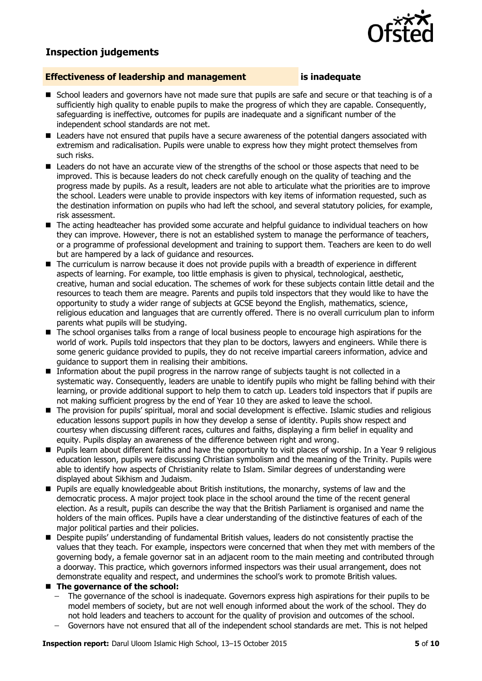#### **Inspection judgements**

#### **Effectiveness of leadership and management is inadequate**

- School leaders and governors have not made sure that pupils are safe and secure or that teaching is of a sufficiently high quality to enable pupils to make the progress of which they are capable. Consequently, safeguarding is ineffective, outcomes for pupils are inadequate and a significant number of the independent school standards are not met.
- **E** Leaders have not ensured that pupils have a secure awareness of the potential dangers associated with extremism and radicalisation. Pupils were unable to express how they might protect themselves from such risks.
- Leaders do not have an accurate view of the strengths of the school or those aspects that need to be improved. This is because leaders do not check carefully enough on the quality of teaching and the progress made by pupils. As a result, leaders are not able to articulate what the priorities are to improve the school. Leaders were unable to provide inspectors with key items of information requested, such as the destination information on pupils who had left the school, and several statutory policies, for example, risk assessment.
- The acting headteacher has provided some accurate and helpful guidance to individual teachers on how they can improve. However, there is not an established system to manage the performance of teachers, or a programme of professional development and training to support them. Teachers are keen to do well but are hampered by a lack of guidance and resources.
- The curriculum is narrow because it does not provide pupils with a breadth of experience in different aspects of learning. For example, too little emphasis is given to physical, technological, aesthetic, creative, human and social education. The schemes of work for these subjects contain little detail and the resources to teach them are meagre. Parents and pupils told inspectors that they would like to have the opportunity to study a wider range of subjects at GCSE beyond the English, mathematics, science, religious education and languages that are currently offered. There is no overall curriculum plan to inform parents what pupils will be studying.
- The school organises talks from a range of local business people to encourage high aspirations for the world of work. Pupils told inspectors that they plan to be doctors, lawyers and engineers. While there is some generic guidance provided to pupils, they do not receive impartial careers information, advice and guidance to support them in realising their ambitions.
- **Information about the pupil progress in the narrow range of subjects taught is not collected in a** systematic way. Consequently, leaders are unable to identify pupils who might be falling behind with their learning, or provide additional support to help them to catch up. Leaders told inspectors that if pupils are not making sufficient progress by the end of Year 10 they are asked to leave the school.
- The provision for pupils' spiritual, moral and social development is effective. Islamic studies and religious education lessons support pupils in how they develop a sense of identity. Pupils show respect and courtesy when discussing different races, cultures and faiths, displaying a firm belief in equality and equity. Pupils display an awareness of the difference between right and wrong.
- Pupils learn about different faiths and have the opportunity to visit places of worship. In a Year 9 religious education lesson, pupils were discussing Christian symbolism and the meaning of the Trinity. Pupils were able to identify how aspects of Christianity relate to Islam. Similar degrees of understanding were displayed about Sikhism and Judaism.
- **Pupils are equally knowledgeable about British institutions, the monarchy, systems of law and the** democratic process. A major project took place in the school around the time of the recent general election. As a result, pupils can describe the way that the British Parliament is organised and name the holders of the main offices. Pupils have a clear understanding of the distinctive features of each of the major political parties and their policies.
- **Despite pupils' understanding of fundamental British values, leaders do not consistently practise the** values that they teach. For example, inspectors were concerned that when they met with members of the governing body, a female governor sat in an adjacent room to the main meeting and contributed through a doorway. This practice, which governors informed inspectors was their usual arrangement, does not demonstrate equality and respect, and undermines the school's work to promote British values.

■ The governance of the school:

- The governance of the school is inadequate. Governors express high aspirations for their pupils to be  $\equiv$ model members of society, but are not well enough informed about the work of the school. They do not hold leaders and teachers to account for the quality of provision and outcomes of the school.
- Governors have not ensured that all of the independent school standards are met. This is not helped

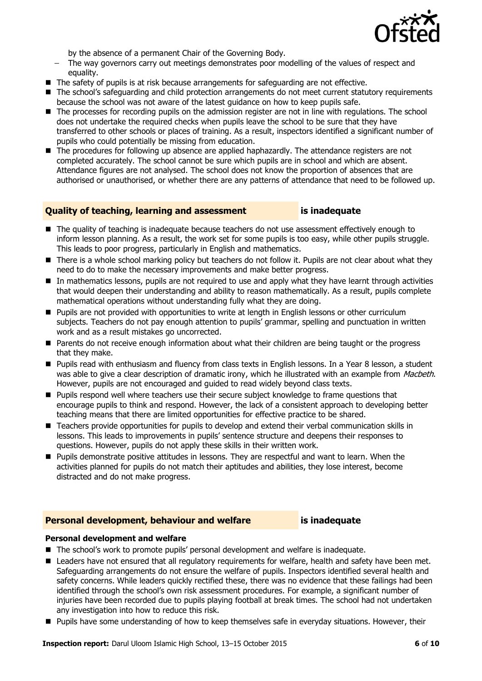

by the absence of a permanent Chair of the Governing Body.

- The way governors carry out meetings demonstrates poor modelling of the values of respect and equality.
- The safety of pupils is at risk because arrangements for safeguarding are not effective.
- The school's safeguarding and child protection arrangements do not meet current statutory requirements because the school was not aware of the latest guidance on how to keep pupils safe.
- **The processes for recording pupils on the admission register are not in line with regulations. The school** does not undertake the required checks when pupils leave the school to be sure that they have transferred to other schools or places of training. As a result, inspectors identified a significant number of pupils who could potentially be missing from education.
- The procedures for following up absence are applied haphazardly. The attendance registers are not completed accurately. The school cannot be sure which pupils are in school and which are absent. Attendance figures are not analysed. The school does not know the proportion of absences that are authorised or unauthorised, or whether there are any patterns of attendance that need to be followed up.

#### **Quality of teaching, learning and assessment is inadequate**

- The quality of teaching is inadequate because teachers do not use assessment effectively enough to inform lesson planning. As a result, the work set for some pupils is too easy, while other pupils struggle. This leads to poor progress, particularly in English and mathematics.
- There is a whole school marking policy but teachers do not follow it. Pupils are not clear about what they need to do to make the necessary improvements and make better progress.
- In mathematics lessons, pupils are not required to use and apply what they have learnt through activities that would deepen their understanding and ability to reason mathematically. As a result, pupils complete mathematical operations without understanding fully what they are doing.
- **Pupils are not provided with opportunities to write at length in English lessons or other curriculum** subjects. Teachers do not pay enough attention to pupils' grammar, spelling and punctuation in written work and as a result mistakes go uncorrected.
- **Parents do not receive enough information about what their children are being taught or the progress** that they make.
- Pupils read with enthusiasm and fluency from class texts in English lessons. In a Year 8 lesson, a student was able to give a clear description of dramatic irony, which he illustrated with an example from Macbeth. However, pupils are not encouraged and guided to read widely beyond class texts.
- **Pupils respond well where teachers use their secure subject knowledge to frame questions that** encourage pupils to think and respond. However, the lack of a consistent approach to developing better teaching means that there are limited opportunities for effective practice to be shared.
- Teachers provide opportunities for pupils to develop and extend their verbal communication skills in lessons. This leads to improvements in pupils' sentence structure and deepens their responses to questions. However, pupils do not apply these skills in their written work.
- **Pupils demonstrate positive attitudes in lessons. They are respectful and want to learn. When the** activities planned for pupils do not match their aptitudes and abilities, they lose interest, become distracted and do not make progress.

#### **Personal development, behaviour and welfare is inadequate**

#### **Personal development and welfare**

- The school's work to promote pupils' personal development and welfare is inadequate.
- **E** Leaders have not ensured that all regulatory requirements for welfare, health and safety have been met. Safeguarding arrangements do not ensure the welfare of pupils. Inspectors identified several health and safety concerns. While leaders quickly rectified these, there was no evidence that these failings had been identified through the school's own risk assessment procedures. For example, a significant number of injuries have been recorded due to pupils playing football at break times. The school had not undertaken any investigation into how to reduce this risk.
- **Pupils have some understanding of how to keep themselves safe in everyday situations. However, their**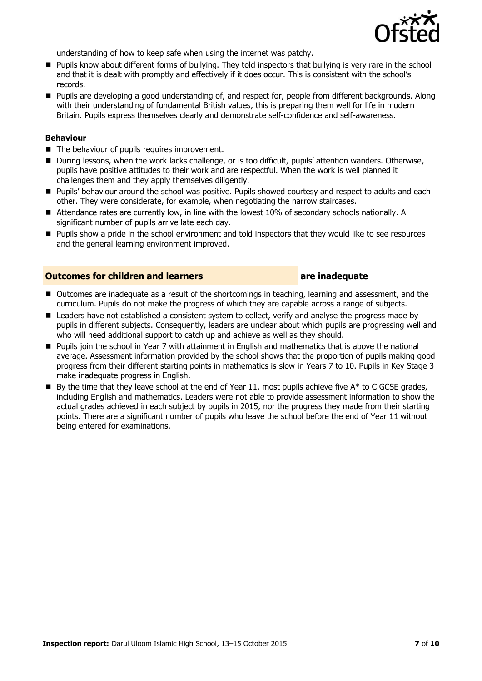

understanding of how to keep safe when using the internet was patchy.

- Pupils know about different forms of bullying. They told inspectors that bullying is very rare in the school and that it is dealt with promptly and effectively if it does occur. This is consistent with the school's records.
- Pupils are developing a good understanding of, and respect for, people from different backgrounds. Along with their understanding of fundamental British values, this is preparing them well for life in modern Britain. Pupils express themselves clearly and demonstrate self-confidence and self-awareness.

#### **Behaviour**

- The behaviour of pupils requires improvement.
- During lessons, when the work lacks challenge, or is too difficult, pupils' attention wanders. Otherwise, pupils have positive attitudes to their work and are respectful. When the work is well planned it challenges them and they apply themselves diligently.
- Pupils' behaviour around the school was positive. Pupils showed courtesy and respect to adults and each other. They were considerate, for example, when negotiating the narrow staircases.
- Attendance rates are currently low, in line with the lowest 10% of secondary schools nationally. A significant number of pupils arrive late each day.
- Pupils show a pride in the school environment and told inspectors that they would like to see resources and the general learning environment improved.

#### **Outcomes for children and learners areas in a large inadequate**

- Outcomes are inadequate as a result of the shortcomings in teaching, learning and assessment, and the curriculum. Pupils do not make the progress of which they are capable across a range of subjects.
- Leaders have not established a consistent system to collect, verify and analyse the progress made by pupils in different subjects. Consequently, leaders are unclear about which pupils are progressing well and who will need additional support to catch up and achieve as well as they should.
- Pupils join the school in Year 7 with attainment in English and mathematics that is above the national average. Assessment information provided by the school shows that the proportion of pupils making good progress from their different starting points in mathematics is slow in Years 7 to 10. Pupils in Key Stage 3 make inadequate progress in English.
- By the time that they leave school at the end of Year 11, most pupils achieve five  $A^*$  to C GCSE grades, including English and mathematics. Leaders were not able to provide assessment information to show the actual grades achieved in each subject by pupils in 2015, nor the progress they made from their starting points. There are a significant number of pupils who leave the school before the end of Year 11 without being entered for examinations.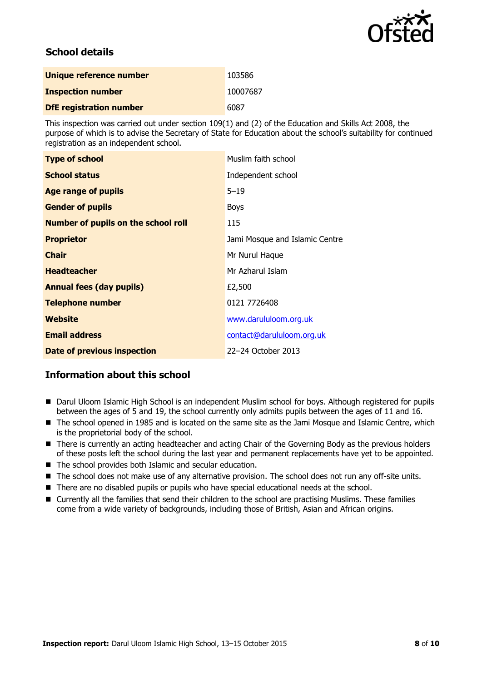

### **School details**

| Unique reference number        | 103586   |
|--------------------------------|----------|
| <b>Inspection number</b>       | 10007687 |
| <b>DfE</b> registration number | 6087     |

This inspection was carried out under section 109(1) and (2) of the Education and Skills Act 2008, the purpose of which is to advise the Secretary of State for Education about the school's suitability for continued registration as an independent school.

| <b>Type of school</b>                      | Muslim faith school            |
|--------------------------------------------|--------------------------------|
| <b>School status</b>                       | Independent school             |
| <b>Age range of pupils</b>                 | $5 - 19$                       |
| <b>Gender of pupils</b>                    | <b>Boys</b>                    |
| <b>Number of pupils on the school roll</b> | 115                            |
| <b>Proprietor</b>                          | Jami Mosque and Islamic Centre |
| <b>Chair</b>                               | Mr Nurul Haque                 |
| <b>Headteacher</b>                         | Mr Azharul Islam               |
| <b>Annual fees (day pupils)</b>            | £2,500                         |
| <b>Telephone number</b>                    | 0121 7726408                   |
| Website                                    | www.darululoom.org.uk          |
| <b>Email address</b>                       | contact@darululoom.org.uk      |
| Date of previous inspection                | 22-24 October 2013             |

#### **Information about this school**

- Darul Uloom Islamic High School is an independent Muslim school for boys. Although registered for pupils between the ages of 5 and 19, the school currently only admits pupils between the ages of 11 and 16.
- The school opened in 1985 and is located on the same site as the Jami Mosque and Islamic Centre, which is the proprietorial body of the school.
- There is currently an acting headteacher and acting Chair of the Governing Body as the previous holders of these posts left the school during the last year and permanent replacements have yet to be appointed.
- The school provides both Islamic and secular education.
- The school does not make use of any alternative provision. The school does not run any off-site units.
- There are no disabled pupils or pupils who have special educational needs at the school.
- Currently all the families that send their children to the school are practising Muslims. These families come from a wide variety of backgrounds, including those of British, Asian and African origins.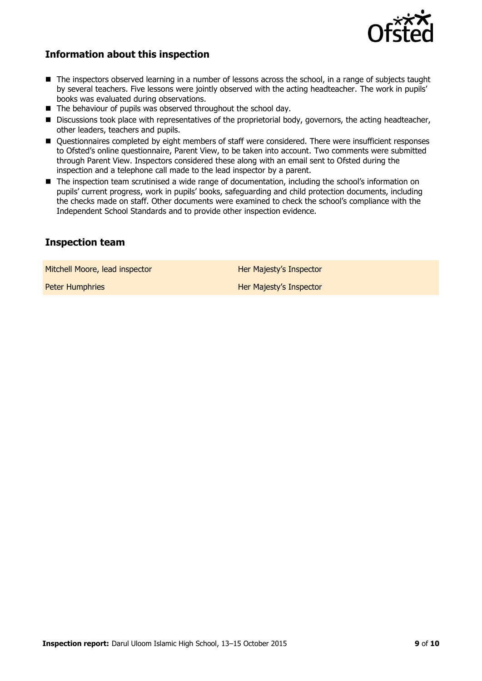

#### **Information about this inspection**

- $\blacksquare$  The inspectors observed learning in a number of lessons across the school, in a range of subjects taught by several teachers. Five lessons were jointly observed with the acting headteacher. The work in pupils' books was evaluated during observations.
- The behaviour of pupils was observed throughout the school day.
- **Discussions took place with representatives of the proprietorial body, governors, the acting headteacher,** other leaders, teachers and pupils.
- Questionnaires completed by eight members of staff were considered. There were insufficient responses to Ofsted's online questionnaire, Parent View, to be taken into account. Two comments were submitted through Parent View. Inspectors considered these along with an email sent to Ofsted during the inspection and a telephone call made to the lead inspector by a parent.
- The inspection team scrutinised a wide range of documentation, including the school's information on pupils' current progress, work in pupils' books, safeguarding and child protection documents, including the checks made on staff. Other documents were examined to check the school's compliance with the Independent School Standards and to provide other inspection evidence.

#### **Inspection team**

Mitchell Moore, lead inspector Her Majesty's Inspector

Peter Humphries **Her Majesty's Inspector**